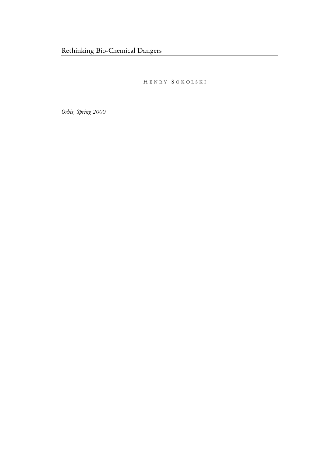H ENRY S OKOLSKI

*Orbis, Spring 2000*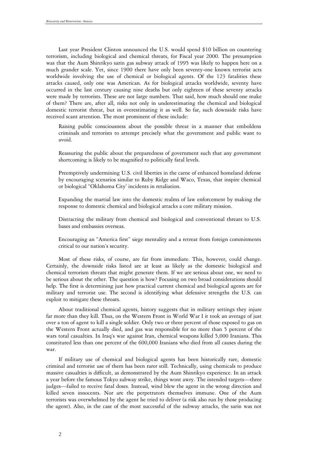Last year President Clinton announced the U.S. would spend \$10 billion on countering terrorism, including biological and chemical threats, for Fiscal year 2000. The presumption was that the Aum Shinrikyo sarin gas subway attack of 1995 was likely to happen here on a much grander scale. Yet, since 1900 there have only been seventy-one known terrorist acts worldwide involving the use of chemical or biological agents. Of the 123 fatalities these attacks caused, only one was American. As for biological attacks worldwide, seventy have occurred in the last century causing nine deaths but only eighteen of these seventy attacks were made by terrorists. These are not large numbers. That said, how much should one make of them? There are, after all, risks not only in underestimating the chemical and biological domestic terrorist threat, but in overestimating it as well. So far, such downside risks have received scant attention. The most prominent of these include:

Raising public consciousness about the possible threat in a manner that emboldens criminals and terrorists to attempt precisely what the government and public want to avoid.

Reassuring the public about the preparedness of government such that any government shortcoming is likely to be magnified to politically fatal levels.

Preemptively undermining U.S. civil liberties in the carne of enhanced homeland defense by encouraging scenarios similar to Ruby Ridge and Waco, Texas, that inspire chemical or biological "Oklahoma City' incidents in retaliation.

Expanding the martial law into the domestic realms of law enforcement by making the response to domestic chemical and biological attacks a core military mission.

Distracting the military from chemical and biological and conventional threats to U.S. bases and embassies overseas.

Encouraging an "America first" siege mentality and a retreat from foreign commitments critical to our nation's security.

Most of these risks, of course, are far from immediate. This, however, could change. Certainly, the downside risks listed are at least as likely as the domestic biological and chemical terrorism threats that might generate them. If we are serious about one, we need to be serious about the other. The question is how? Focusing on two broad considerations should help. The first is determining just how practical current chemical and biological agents are for military and terrorist use. The second is identifying what defensive strengths the U.S. can exploit to mitigate these throats.

About traditional chemical agents, history suggests that in military settings they injure far more than they kill. Thus, on the Western Front in World War I it took an average of just over a ton of agent to kill a single soldier. Only two or three percent of those exposed to gas on the Western Front actually died, and gas was responsible for no more than 5 percent of the wars total casualties. In Iraq's war against Iran, chemical weapons killed 5,000 Iranians. This constituted less than one percent of the 600,000 Iranians who died from all causes during the war.

If military use of chemical and biological agents has been historically rare, domestic criminal and terrorist use of them has been rarer still. Technically, using chemicals to produce massive casualties is difficult, as demonstrated by the Aum Shinrikyo experience. In an attack a year before the famous Tokyo subway strike, things wont awry. The intended targets—three judges—failed to receive fatal doses. Instead, wind blew the agent in the wrong direction and killed seven innocents. Nor are the perpetrators themselves immune. One of the Aum terrorists was overwhelmed by the agent he tried to deliver (a risk also run by those producing the agent). Also, in the case of the most successful of the subway attacks, the sarin was not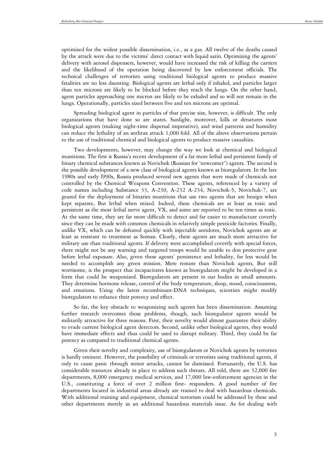optimized for the widest possible dissemination, i.e., as a gas. All twelve of the deaths caused by the attack were due to the victims' direct contact with liquid sarin. Optimizing the agents' delivery with aerosol dispensers, however, would have increased the risk of killing the carriers and the likelihood of the operation being discovered by law enforcement officials. The technical challenges of terrorists using traditional biological agents to produce massive fatalities are no less daunting. Biological agents are lethal only if inhaled, and particles larger than ten microns are likely to be blocked before they reach the lungs. On the other hand, agent particles approaching one micron are likely to be exhaled and so will not remain in the lungs. Operationally, particles sized between five and ten microns are optimal.

Spreading biological agent in particles of that precise size, however, is difficult. The only organizations that have done so are states. Sunlight, moreover, kills or denatures most biological agents (making night-time dispersal imperative), and wind patterns and humidity can reduce the lethality of an anthrax attack 1,000 fold. All of the above observations pertain to the use of traditional chemical and biological agents to produce massive casualties.

Two developments, however, may change the way we look at chemical and biological munitions. The first is Russia's recent development of a far more lethal and persistent family of binary chemical substances known as Novichok (Russian for 'newcomer") agents. The second is the possible development of a new class of biological agents known as bioregulators. In the late 1980s and early l990s, Russia produced several new agents that were made of chemicals not controlled by the Chemical Weapons Convention. These agents, referenced by a variety of code names including Substance 33, A-230, A-232 A-234, Novichok-5, Novichuk-7, are geared for the deployment of binaries munitions that use two agents that are benign when kept separate, But lethal when mixed. Indeed, these chemicals are at least as toxic and persistent as the most lethal nerve agent, VX, and some are reported to be ten times as toxic. At the same time, they are far more difficult to detect and far easier to manufacture covertly since they can be made with common chemicals in relatively simple pesticide factories. Finally, unlike VX, which can be defeated quickly with injectable antidotes, Novichok agents are at least as resistant to treatment as Soman. Clearly, these agents are much more attractive for military use than traditional agents. If delivery were accomplished covertly with special forces, there might not be any warning and targeted troops would be unable to don protective gear before lethal exposure. Also, given these agents' persistence and lethality, far less would be needed to accomplish any given mission. Mere remote than Novichok agents, But still worrisome, is the prospect that incapacitates known as bioregulators might be developed in a form that could be weaponized. Bioregulators are present in our bodies in small amounts. They determine hormone release, control of the body temperature, sloop, mood, consciousness, and emotions. Using the latest recombinant-DNA techniques, scientists might modify bioregulators to enhance their potency and effect.

So far, the key obstacle to weaponizing such agents has been dissemination. Assuming further research overcomes those problems, though, such bioregulator agents would be militarily attractive for three reasons. First, their novelty would almost guarantee their ability to evade current biological agent detectors. Second, unlike other biological agents, they would have immediate effects and thus could be used to disrupt military. Third, they could be far potency as compared to traditional chemical agents.

Given their novelty and complexity, use of bioregulators or Novichok agents by terrorists is hardly eminent. However, the possibility of criminals or terrorists using traditional agents, if only to cause panic through minor attacks, cannot be dismissed. Fortunately, the U.S. has considerable resources already in place to address such threats. All told, there are 32,000 fire departments, 8,000 emergency medical services, and 17,000 law-enforcement agencies in the U.S., constituting a force of over 2 million first- responders. A good number of fire departments located in industrial areas already are trained to deal with hazardous chemicals. With additional training and equipment, chemical terrorism could be addressed by these and other departments merely as an additional hazardous materials issue. As for dealing with